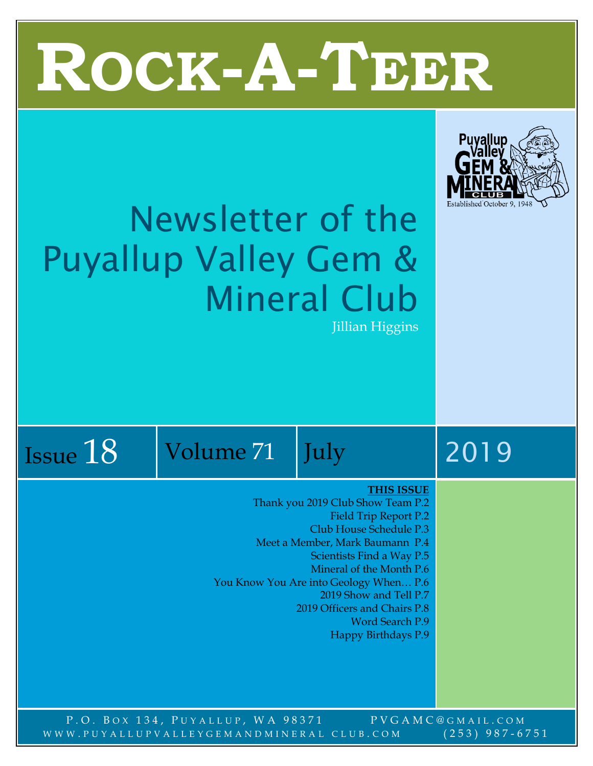# T **ROCK-A-TEER**



## Newsletter of the Puyallup Valley Gem & Mineral Club Jillian Higgins

|          | 1 O |
|----------|-----|
| Issue 10 |     |

Volume 71 July 2019

#### **THIS ISSUE**

Thank you 2019 Club Show Team P.2

- Field Trip Report P.2 Club House Schedule P.3
- Meet a Member, Mark Baumann P.4
	- Scientists Find a Way P.5
		- Mineral of the Month P.6
- You Know You Are into Geology When… P.6
	- 2019 Show and Tell P.7
	- 2019 Officers and Chairs P.8
		- Word Search P.9
			- Happy Birthdays P.9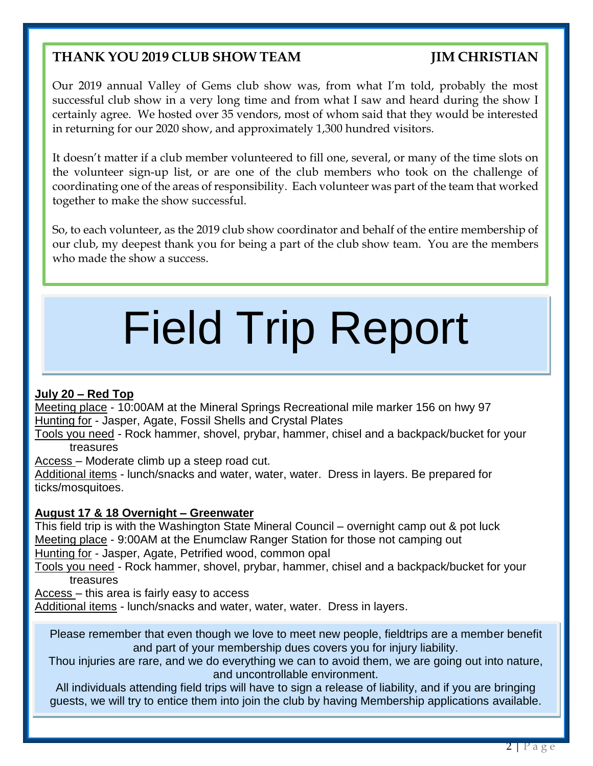#### **THANK YOU 2019 CLUB SHOW TEAM JIM CHRISTIAN**

Our 2019 annual Valley of Gems club show was, from what I'm told, probably the most successful club show in a very long time and from what I saw and heard during the show I certainly agree. We hosted over 35 vendors, most of whom said that they would be interested in returning for our 2020 show, and approximately 1,300 hundred visitors.

It doesn't matter if a club member volunteered to fill one, several, or many of the time slots on the volunteer sign-up list, or are one of the club members who took on the challenge of coordinating one of the areas of responsibility. Each volunteer was part of the team that worked together to make the show successful.

So, to each volunteer, as the 2019 club show coordinator and behalf of the entire membership of our club, my deepest thank you for being a part of the club show team. You are the members who made the show a success.

## Field Trip Report

#### **July 20 – Red Top**

Meeting place - 10:00AM at the Mineral Springs Recreational mile marker 156 on hwy 97 Hunting for - Jasper, Agate, Fossil Shells and Crystal Plates

Tools you need - Rock hammer, shovel, prybar, hammer, chisel and a backpack/bucket for your treasures

Access – Moderate climb up a steep road cut.

Additional items - lunch/snacks and water, water, water. Dress in layers. Be prepared for ticks/mosquitoes.

#### **August 17 & 18 Overnight – Greenwater**

This field trip is with the Washington State Mineral Council – overnight camp out & pot luck Meeting place - 9:00AM at the Enumclaw Ranger Station for those not camping out Hunting for - Jasper, Agate, Petrified wood, common opal

Tools you need - Rock hammer, shovel, prybar, hammer, chisel and a backpack/bucket for your treasures

Access – this area is fairly easy to access

Additional items - lunch/snacks and water, water, water. Dress in layers.

Please remember that even though we love to meet new people, fieldtrips are a member benefit and part of your membership dues covers you for injury liability.

Thou injuries are rare, and we do everything we can to avoid them, we are going out into nature, and uncontrollable environment.

All individuals attending field trips will have to sign a release of liability, and if you are bringing guests, we will try to entice them into join the club by having Membership applications available.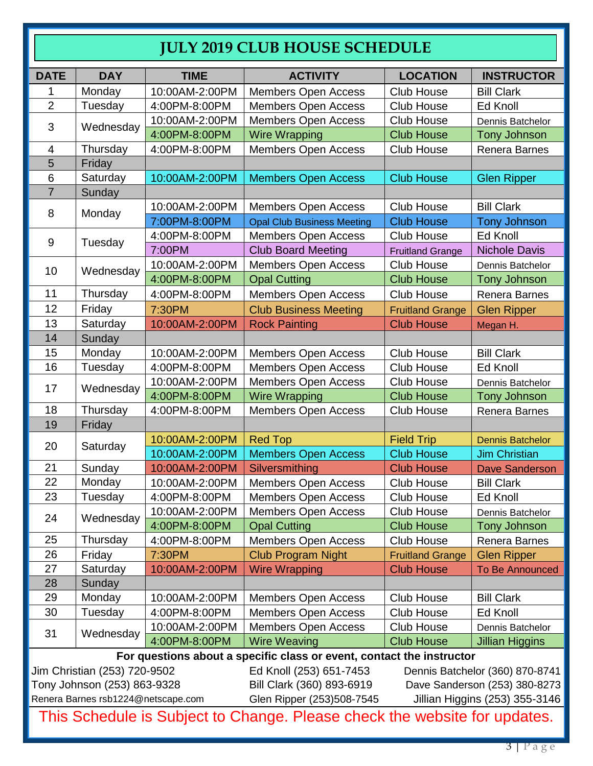#### **JULY 2019 CLUB HOUSE SCHEDULE**

| <b>DATE</b>                 | <b>DAY</b>                   | <b>TIME</b>    | <b>ACTIVITY</b>                                                       | <b>LOCATION</b>               | <b>INSTRUCTOR</b>               |  |  |
|-----------------------------|------------------------------|----------------|-----------------------------------------------------------------------|-------------------------------|---------------------------------|--|--|
| 1                           | Monday                       | 10:00AM-2:00PM | <b>Members Open Access</b>                                            | <b>Club House</b>             | <b>Bill Clark</b>               |  |  |
| $\overline{2}$              | Tuesday                      | 4:00PM-8:00PM  | <b>Members Open Access</b>                                            | Club House                    | Ed Knoll                        |  |  |
| 3                           | Wednesday                    | 10:00AM-2:00PM | <b>Members Open Access</b>                                            | Club House                    | Dennis Batchelor                |  |  |
|                             |                              | 4:00PM-8:00PM  | <b>Wire Wrapping</b>                                                  | <b>Club House</b>             | <b>Tony Johnson</b>             |  |  |
| $\overline{4}$              | Thursday                     | 4:00PM-8:00PM  | <b>Members Open Access</b>                                            | Club House                    | Renera Barnes                   |  |  |
| 5                           | Friday                       |                |                                                                       |                               |                                 |  |  |
| 6                           | Saturday                     | 10:00AM-2:00PM | <b>Members Open Access</b>                                            | <b>Club House</b>             | <b>Glen Ripper</b>              |  |  |
| $\overline{7}$              | Sunday                       |                |                                                                       |                               |                                 |  |  |
| 8                           | Monday                       | 10:00AM-2:00PM | <b>Members Open Access</b>                                            | <b>Club House</b>             | <b>Bill Clark</b>               |  |  |
|                             |                              | 7:00PM-8:00PM  | <b>Opal Club Business Meeting</b>                                     | <b>Club House</b>             | <b>Tony Johnson</b>             |  |  |
| 9                           | Tuesday                      | 4:00PM-8:00PM  | <b>Members Open Access</b>                                            | <b>Club House</b>             | Ed Knoll                        |  |  |
|                             |                              | 7:00PM         | <b>Club Board Meeting</b>                                             | <b>Fruitland Grange</b>       | <b>Nichole Davis</b>            |  |  |
| 10                          | Wednesday                    | 10:00AM-2:00PM | <b>Members Open Access</b>                                            | <b>Club House</b>             | Dennis Batchelor                |  |  |
|                             |                              | 4:00PM-8:00PM  | <b>Opal Cutting</b>                                                   | <b>Club House</b>             | <b>Tony Johnson</b>             |  |  |
| 11                          | Thursday                     | 4:00PM-8:00PM  | Members Open Access                                                   | Club House                    | Renera Barnes                   |  |  |
| 12                          | Friday                       | 7:30PM         | <b>Club Business Meeting</b>                                          | <b>Fruitland Grange</b>       | <b>Glen Ripper</b>              |  |  |
| 13                          | Saturday                     | 10:00AM-2:00PM | <b>Rock Painting</b>                                                  | <b>Club House</b>             | Megan H.                        |  |  |
| 14                          | Sunday                       |                |                                                                       |                               |                                 |  |  |
| 15                          | Monday                       | 10:00AM-2:00PM | <b>Members Open Access</b>                                            | Club House                    | <b>Bill Clark</b>               |  |  |
| 16                          | Tuesday                      | 4:00PM-8:00PM  | <b>Members Open Access</b>                                            | Club House<br>Ed Knoll        |                                 |  |  |
|                             |                              | 10:00AM-2:00PM | <b>Members Open Access</b>                                            | <b>Club House</b>             | Dennis Batchelor                |  |  |
| 17                          | Wednesday                    | 4:00PM-8:00PM  | <b>Wire Wrapping</b>                                                  | <b>Club House</b>             | <b>Tony Johnson</b>             |  |  |
| 18                          | Thursday                     | 4:00PM-8:00PM  | <b>Members Open Access</b>                                            | <b>Club House</b>             | Renera Barnes                   |  |  |
| 19                          | Friday                       |                |                                                                       |                               |                                 |  |  |
| 20                          |                              | 10:00AM-2:00PM | <b>Red Top</b>                                                        | <b>Field Trip</b>             | <b>Dennis Batchelor</b>         |  |  |
|                             | Saturday                     | 10:00AM-2:00PM | <b>Members Open Access</b>                                            | <b>Club House</b>             | <b>Jim Christian</b>            |  |  |
| 21                          | Sunday                       | 10:00AM-2:00PM | Silversmithing                                                        | <b>Club House</b>             | <b>Dave Sanderson</b>           |  |  |
| 22                          | Monday                       | 10:00AM-2:00PM | <b>Members Open Access</b>                                            | Club House                    | <b>Bill Clark</b>               |  |  |
| 23                          | Tuesday                      | 4:00PM-8:00PM  | <b>Members Open Access</b>                                            | Club House                    | Ed Knoll                        |  |  |
|                             |                              | 10:00AM-2:00PM | <b>Members Open Access</b>                                            | Club House                    | Dennis Batchelor                |  |  |
| 24                          | Wednesday                    | 4:00PM-8:00PM  | <b>Opal Cutting</b>                                                   | <b>Club House</b>             | <b>Tony Johnson</b>             |  |  |
| 25                          | Thursday                     | 4:00PM-8:00PM  | <b>Members Open Access</b>                                            | <b>Club House</b>             | Renera Barnes                   |  |  |
| 26                          | Friday                       | 7:30PM         | <b>Club Program Night</b>                                             | <b>Fruitland Grange</b>       | <b>Glen Ripper</b>              |  |  |
| 27                          | Saturday                     | 10:00AM-2:00PM | <b>Wire Wrapping</b>                                                  | <b>Club House</b>             | To Be Announced                 |  |  |
| 28                          | Sunday                       |                |                                                                       |                               |                                 |  |  |
| 29                          | Monday                       | 10:00AM-2:00PM | <b>Members Open Access</b>                                            | Club House                    | <b>Bill Clark</b>               |  |  |
| 30                          | Tuesday                      | 4:00PM-8:00PM  | <b>Members Open Access</b>                                            | <b>Club House</b>             | Ed Knoll                        |  |  |
|                             |                              | 10:00AM-2:00PM | <b>Members Open Access</b>                                            | <b>Club House</b>             | Dennis Batchelor                |  |  |
| 31                          | Wednesday                    | 4:00PM-8:00PM  | <b>Wire Weaving</b>                                                   | <b>Club House</b>             | Jillian Higgins                 |  |  |
|                             |                              |                | For questions about a specific class or event, contact the instructor |                               |                                 |  |  |
|                             | Jim Christian (253) 720-9502 |                | Ed Knoll (253) 651-7453                                               |                               | Dennis Batchelor (360) 870-8741 |  |  |
| Tony Johnson (253) 863-9328 |                              |                | Bill Clark (360) 893-6919                                             | Dave Sanderson (253) 380-8273 |                                 |  |  |

Tony Johnson (253) 863-9328 Bill Clark (360) 893-6919 Dave Sanderson (253) 380-8273

Renera Barnes [rsb1224@netscape.com](mailto:rsb1224@netscape.com) Glen Ripper (253)508-7545 Jillian Higgins (253) 355-3146

This Schedule is Subject to Change. Please check the website for updates.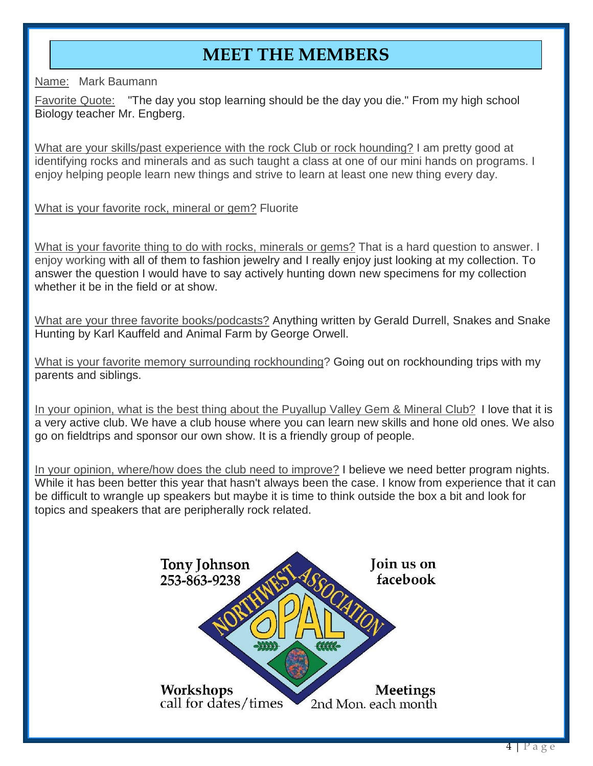#### **MEET THE MEMBERS**

Name: Mark Baumann

Favorite Quote: "The day you stop learning should be the day you die." From my high school Biology teacher Mr. Engberg.

What are your skills/past experience with the rock Club or rock hounding? I am pretty good at identifying rocks and minerals and as such taught a class at one of our mini hands on programs. I enjoy helping people learn new things and strive to learn at least one new thing every day.

What is your favorite rock, mineral or gem? Fluorite

What is your favorite thing to do with rocks, minerals or gems? That is a hard question to answer. I enjoy working with all of them to fashion jewelry and I really enjoy just looking at my collection. To answer the question I would have to say actively hunting down new specimens for my collection whether it be in the field or at show.

What are your three favorite books/podcasts? Anything written by Gerald Durrell, Snakes and Snake Hunting by Karl Kauffeld and Animal Farm by George Orwell.

What is your favorite memory surrounding rockhounding? Going out on rockhounding trips with my parents and siblings.

In your opinion, what is the best thing about the Puyallup Valley Gem & Mineral Club? I love that it is a very active club. We have a club house where you can learn new skills and hone old ones. We also go on fieldtrips and sponsor our own show. It is a friendly group of people.

In your opinion, where/how does the club need to improve? I believe we need better program nights. While it has been better this year that hasn't always been the case. I know from experience that it can be difficult to wrangle up speakers but maybe it is time to think outside the box a bit and look for topics and speakers that are peripherally rock related.

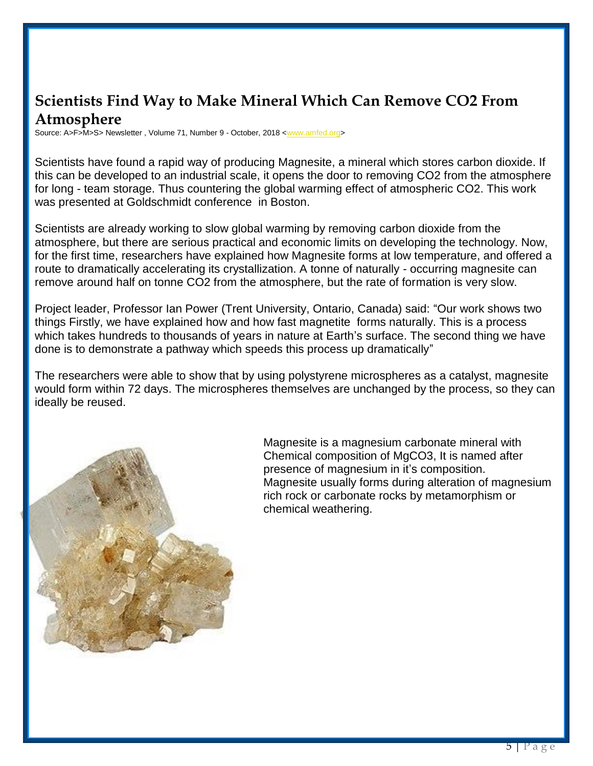#### **Scientists Find Way to Make Mineral Which Can Remove CO2 From Atmosphere**

Source: A>F>M>S> Newsletter, Volume 71, Number 9 - October, 2018 [<www.amfed.org>](http://www.amfed.org/)

Scientists have found a rapid way of producing Magnesite, a mineral which stores carbon dioxide. If this can be developed to an industrial scale, it opens the door to removing CO2 from the atmosphere for long - team storage. Thus countering the global warming effect of atmospheric CO2. This work was presented at Goldschmidt conference in Boston.

Scientists are already working to slow global warming by removing carbon dioxide from the atmosphere, but there are serious practical and economic limits on developing the technology. Now, for the first time, researchers have explained how Magnesite forms at low temperature, and offered a route to dramatically accelerating its crystallization. A tonne of naturally - occurring magnesite can remove around half on tonne CO2 from the atmosphere, but the rate of formation is very slow.

Project leader, Professor Ian Power (Trent University, Ontario, Canada) said: "Our work shows two things Firstly, we have explained how and how fast magnetite forms naturally. This is a process which takes hundreds to thousands of years in nature at Earth's surface. The second thing we have done is to demonstrate a pathway which speeds this process up dramatically"

The researchers were able to show that by using polystyrene microspheres as a catalyst, magnesite would form within 72 days. The microspheres themselves are unchanged by the process, so they can ideally be reused.



Magnesite is a magnesium carbonate mineral with Chemical composition of MgCO3, It is named after presence of magnesium in it's composition. Magnesite usually forms during alteration of magnesium rich rock or carbonate rocks by metamorphism or chemical weathering.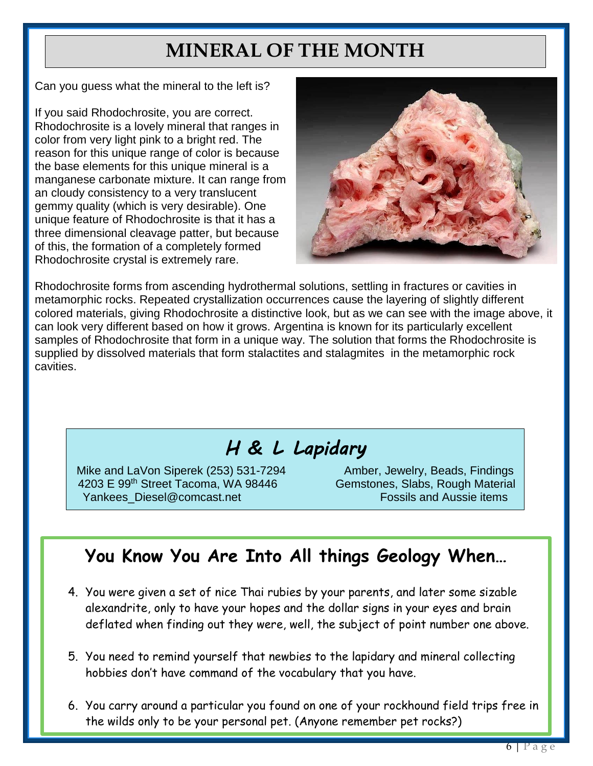### **MINERAL OF THE MONTH**

Can you guess what the mineral to the left is?

If you said Rhodochrosite, you are correct. Rhodochrosite is a lovely mineral that ranges in color from very light pink to a bright red. The reason for this unique range of color is because the base elements for this unique mineral is a manganese carbonate mixture. It can range from an cloudy consistency to a very translucent gemmy quality (which is very desirable). One unique feature of Rhodochrosite is that it has a three dimensional cleavage patter, but because of this, the formation of a completely formed Rhodochrosite crystal is extremely rare.



Rhodochrosite forms from ascending hydrothermal solutions, settling in fractures or cavities in metamorphic rocks. Repeated crystallization occurrences cause the layering of slightly different colored materials, giving Rhodochrosite a distinctive look, but as we can see with the image above, it can look very different based on how it grows. Argentina is known for its particularly excellent samples of Rhodochrosite that form in a unique way. The solution that forms the Rhodochrosite is supplied by dissolved materials that form stalactites and stalagmites in the metamorphic rock cavities.

#### *H & L Lapidary*

Mike and LaVon Siperek (253) 531-7294 Amber, Jewelry, Beads, Findings 4203 E 99<sup>th</sup> Street Tacoma, WA 98446 Gemstones, Slabs, Rough Material Yankees Diesel@comcast.net Fossils and Aussie items

#### **You Know You Are Into All things Geology When…**

- 4. You were given a set of nice Thai rubies by your parents, and later some sizable alexandrite, only to have your hopes and the dollar signs in your eyes and brain deflated when finding out they were, well, the subject of point number one above.
- 5. You need to remind yourself that newbies to the lapidary and mineral collecting hobbies don't have command of the vocabulary that you have.
- 6. You carry around a particular you found on one of your rockhound field trips free in the wilds only to be your personal pet. (Anyone remember pet rocks?)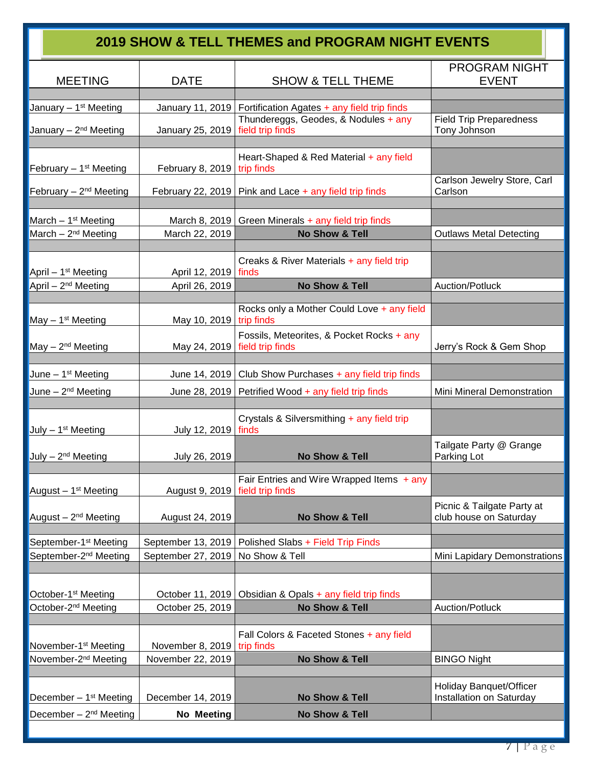|                                    |                                 | 2019 SHOW & TELL THEMES and PROGRAM NIGHT EVENTS                |                                                      |
|------------------------------------|---------------------------------|-----------------------------------------------------------------|------------------------------------------------------|
| <b>MEETING</b>                     | <b>DATE</b>                     | <b>SHOW &amp; TELL THEME</b>                                    | <b>PROGRAM NIGHT</b><br><b>EVENT</b>                 |
| January - 1 <sup>st</sup> Meeting  |                                 | January 11, 2019   Fortification Agates + any field trip finds  |                                                      |
| January - 2 <sup>nd</sup> Meeting  | January 25, 2019                | Thundereggs, Geodes, & Nodules + any<br>field trip finds        | <b>Field Trip Preparedness</b><br>Tony Johnson       |
| February $-1st$ Meeting            | February 8, 2019   trip finds   | Heart-Shaped & Red Material + any field                         |                                                      |
| February - 2 <sup>nd</sup> Meeting |                                 | February 22, 2019   Pink and Lace $+$ any field trip finds      | Carlson Jewelry Store, Carl<br>Carlson               |
| March $-1st$ Meeting               |                                 | March 8, 2019   Green Minerals $+$ any field trip finds         |                                                      |
| March $-2^{nd}$ Meeting            | March 22, 2019                  | <b>No Show &amp; Tell</b>                                       | <b>Outlaws Metal Detecting</b>                       |
| April $-1st$ Meeting               | April 12, 2019   finds          | Creaks & River Materials + any field trip                       |                                                      |
| April - 2 <sup>nd</sup> Meeting    | April 26, 2019                  | No Show & Tell                                                  | Auction/Potluck                                      |
| May $-1st$ Meeting                 | May 10, 2019   trip finds       | Rocks only a Mother Could Love + any field                      |                                                      |
| May - 2 <sup>nd</sup> Meeting      | May 24, 2019   field trip finds | Fossils, Meteorites, & Pocket Rocks + any                       | Jerry's Rock & Gem Shop                              |
|                                    |                                 |                                                                 |                                                      |
| June $-1st$ Meeting                |                                 | June 14, 2019   Club Show Purchases + any field trip finds      |                                                      |
| June - 2 <sup>nd</sup> Meeting     |                                 | June 28, 2019   Petrified Wood + any field trip finds           | Mini Mineral Demonstration                           |
| July $-1st$ Meeting                | July 12, 2019   finds           | Crystals & Silversmithing + any field trip                      |                                                      |
| July - 2 <sup>nd</sup> Meeting     | July 26, 2019                   | No Show & Tell                                                  | Tailgate Party @ Grange<br>Parking Lot               |
| August - 1 <sup>st</sup> Meeting   | August 9, 2019                  | Fair Entries and Wire Wrapped Items $+$ any<br>field trip finds |                                                      |
| August - 2 <sup>nd</sup> Meeting   | August 24, 2019                 | No Show & Tell                                                  | Picnic & Tailgate Party at<br>club house on Saturday |
| September-1 <sup>st</sup> Meeting  | September 13, 2019              | Polished Slabs + Field Trip Finds                               |                                                      |
| September-2 <sup>nd</sup> Meeting  | September 27, 2019              | No Show & Tell                                                  | Mini Lapidary Demonstrations                         |
| October-1 <sup>st</sup> Meeting    |                                 | October 11, 2019   Obsidian & Opals + any field trip finds      |                                                      |
| October-2 <sup>nd</sup> Meeting    | October 25, 2019                | No Show & Tell                                                  | Auction/Potluck                                      |
|                                    |                                 |                                                                 |                                                      |
| November-1 <sup>st</sup> Meeting   | November 8, 2019                | Fall Colors & Faceted Stones + any field<br>trip finds          |                                                      |
| November-2 <sup>nd</sup> Meeting   | November 22, 2019               | No Show & Tell                                                  | <b>BINGO Night</b>                                   |
|                                    |                                 |                                                                 |                                                      |
| December $-1st$ Meeting            | December 14, 2019               | No Show & Tell                                                  | Holiday Banquet/Officer<br>Installation on Saturday  |
| December $-2nd$ Meeting            | No Meeting                      | No Show & Tell                                                  |                                                      |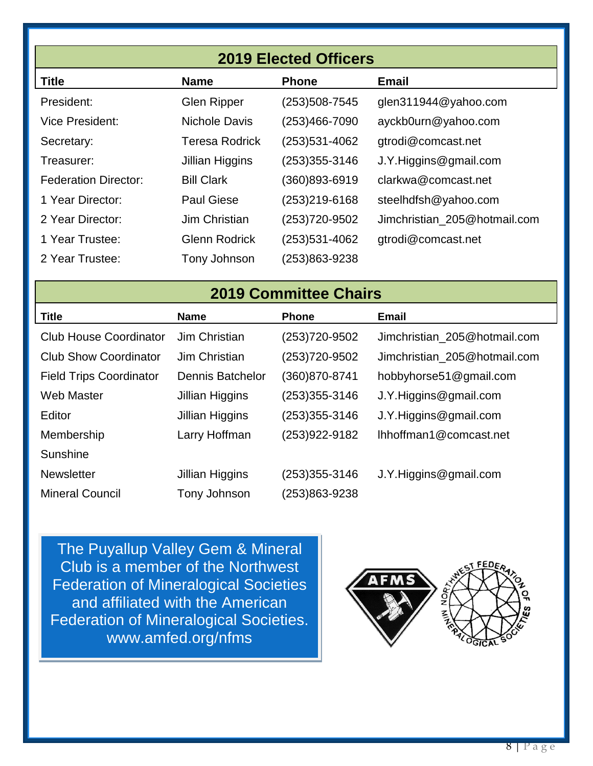| <b>2019 Elected Officers</b> |                       |               |                              |  |  |  |  |  |
|------------------------------|-----------------------|---------------|------------------------------|--|--|--|--|--|
| <b>Title</b>                 | <b>Name</b>           | <b>Phone</b>  | <b>Email</b>                 |  |  |  |  |  |
| President:                   | <b>Glen Ripper</b>    | (253)508-7545 | glen311944@yahoo.com         |  |  |  |  |  |
| <b>Vice President:</b>       | Nichole Davis         | (253)466-7090 | ayckb0urn@yahoo.com          |  |  |  |  |  |
| Secretary:                   | <b>Teresa Rodrick</b> | (253)531-4062 | gtrodi@comcast.net           |  |  |  |  |  |
| Treasurer:                   | Jillian Higgins       | (253)355-3146 | J.Y.Higgins@gmail.com        |  |  |  |  |  |
| <b>Federation Director:</b>  | <b>Bill Clark</b>     | (360)893-6919 | clarkwa@comcast.net          |  |  |  |  |  |
| 1 Year Director:             | <b>Paul Giese</b>     | (253)219-6168 | steelhdfsh@yahoo.com         |  |  |  |  |  |
| 2 Year Director:             | Jim Christian         | (253)720-9502 | Jimchristian_205@hotmail.com |  |  |  |  |  |
| 1 Year Trustee:              | <b>Glenn Rodrick</b>  | (253)531-4062 | gtrodi@comcast.net           |  |  |  |  |  |
| 2 Year Trustee:              | Tony Johnson          | 253)863-9238  |                              |  |  |  |  |  |

#### **2019 Committee Chairs**

| <b>Title</b>                   | <b>Name</b>             | <b>Phone</b>      | <b>Email</b>                 |
|--------------------------------|-------------------------|-------------------|------------------------------|
| <b>Club House Coordinator</b>  | Jim Christian           | (253) 720-9502    | Jimchristian_205@hotmail.com |
| <b>Club Show Coordinator</b>   | Jim Christian           | (253) 720-9502    | Jimchristian_205@hotmail.com |
| <b>Field Trips Coordinator</b> | <b>Dennis Batchelor</b> | (360)870-8741     | hobbyhorse51@gmail.com       |
| <b>Web Master</b>              | Jillian Higgins         | $(253)355 - 3146$ | J.Y.Higgins@gmail.com        |
| Editor                         | Jillian Higgins         | (253) 355-3146    | J.Y.Higgins@gmail.com        |
| Membership                     | Larry Hoffman           | (253)922-9182     | Ihhoffman1@comcast.net       |
| Sunshine                       |                         |                   |                              |
| <b>Newsletter</b>              | Jillian Higgins         | (253)355-3146     | J.Y.Higgins@gmail.com        |
| <b>Mineral Council</b>         | Tony Johnson            | (253)863-9238     |                              |

The Puyallup Valley Gem & Mineral Club is a member of the Northwest Federation of Mineralogical Societies and affiliated with the American Federation of Mineralogical Societies. www.amfed.org/nfms

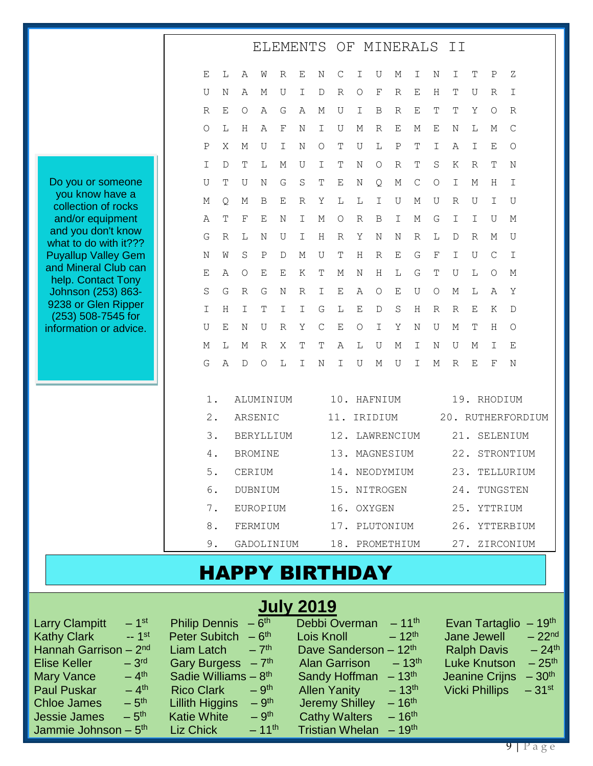|                                             |       |              |                  |   |             |             |              | ELEMENTS OF MINERALS  |                  |                  |             |                  |         | II               |             |                  |                   |
|---------------------------------------------|-------|--------------|------------------|---|-------------|-------------|--------------|-----------------------|------------------|------------------|-------------|------------------|---------|------------------|-------------|------------------|-------------------|
|                                             | Ε     | L            | Α                | W | R           | Ε           | N            | С                     | Ι                | U                | Μ           | I                | Ν       | I.               | $\mathbb T$ | Ρ                | Ζ                 |
|                                             | U     | Ν            | Α                | М | U           | Ι           | $\mathbb D$  | $\mathbb R$           | $\bigcirc$       | F                | $\mathbb R$ | $\mathbf E$      | Η       | T                | U           | $\, {\mathbb R}$ | Ι                 |
|                                             | R     | Ε            | O                | Α | G           | Α           | М            | U                     | Ι                | B                | R           | E                | Τ       | Т                | Υ           | O                | R                 |
|                                             | O     | L            | Η                | Α | $\mathbf F$ | Ν           | Ι            | U                     | М                | $\, {\mathbb R}$ | $\mathbf E$ | Μ                | Ε       | Ν                | L           | М                | C                 |
|                                             | Ρ     | Χ            | М                | U | Ι           | Ν           | $\bigcirc$   | Т                     | U                | L                | Ρ           | T                | I       | Α                | Ι           | Е                | O                 |
|                                             | Ι     | D            | Т                | L | М           | U           | Ι            | Т                     | Ν                | $\circ$          | R           | $\mathbb T$      | S       | Κ                | R           | Т                | N                 |
| Do you or someone                           | U     | T            | U                | Ν | G           | S           | T            | Ε                     | Ν                | Q                | М           | $\mathsf C$      | $\circ$ | I                | М           | Η                | Ι                 |
| you know have a<br>collection of rocks      | Μ     | Q            | Μ                | B | Ε           | $\mathbb R$ | Υ            | L                     | L                | I                | U           | М                | U       | $\, {\mathbb R}$ | U           | I                | U                 |
| and/or equipment                            | Α     | T            | $\mathbf{F}$     | E | Ν           | Ι           | М            | О                     | $\, {\mathbb R}$ | B                | I           | М                | G       | I                | I           | U                | М                 |
| and you don't know<br>what to do with it??? | G     | $\mathbb{R}$ | L                | Ν | U           | Ι           | Η            | R                     | Υ                | Ν                | N           | $\, {\mathbb R}$ | L       | D                | R           | Μ                | U                 |
| <b>Puyallup Valley Gem</b>                  | Ν     | W            | S                | Ρ | D           | Μ           | U            | Τ                     | H                | R                | E           | G                | F       | I                | U           | $\mathsf{C}$     | Ι                 |
| and Mineral Club can<br>help. Contact Tony  | Ε     | Α            | $\circ$          | Ε | Ε           | Κ           | Т            | М                     | Ν                | Η                | L           | G                | Т       | U                | L           | O                | М                 |
| Johnson (253) 863-                          | S     | G            | $\, {\mathbb R}$ | G | Ν           | $\mathbb R$ | I            | $\mathbf E$           | Α                | $\circ$          | Ε           | U                | О       | М                | L           | Α                | Υ                 |
| 9238 or Glen Ripper<br>(253) 508-7545 for   | I     | H            | I                | Т | Ι           | Ι           | G            | L                     | $\mathbf E$      | D                | S           | Н                | R       | R                | Ε           | Κ                | D                 |
| information or advice.                      | U     | E            | Ν                | U | R           | Υ           | $\mathsf{C}$ | $\mathbf E$           | $\bigcirc$       | I                | Υ           | Ν                | U       | Μ                | $\mathbb T$ | Η                | $\circ$           |
|                                             | М     | L            | М                | R | Χ           | Т           | Т            | Α                     | L                | U                | Μ           | I                | Ν       | U                | Μ           | Ι                | Ε                 |
|                                             | G     | $\mathbb{A}$ | D                | O | L           | I           | Ν            | I                     | U                | М                | U           | I                | М       | $\mathbb R$      | Ε           | F                | N                 |
|                                             | 1.    |              | ALUMINIUM        |   |             |             |              | 10. HAFNIUM           |                  |                  |             |                  |         |                  |             | 19. RHODIUM      |                   |
|                                             | $2$ . |              | ARSENIC          |   |             |             |              | 11.                   |                  | IRIDIUM          |             |                  |         |                  |             |                  | 20. RUTHERFORDIUM |
|                                             | 3.    |              | <b>BERYLLIUM</b> |   |             |             |              | 12.                   |                  | LAWRENCIUM       |             |                  |         | 21.              |             |                  | SELENIUM          |
|                                             | 4.    |              | <b>BROMINE</b>   |   |             |             |              | 13.                   |                  | MAGNESIUM        |             |                  |         | 22.              |             |                  | STRONTIUM         |
|                                             | $5$ . |              | CERIUM           |   |             |             |              | 14. NEODYMIUM         |                  |                  |             |                  |         |                  |             |                  | 23. TELLURIUM     |
|                                             | 6.    |              | DUBNIUM          |   |             |             |              | 15. NITROGEN          |                  |                  |             |                  |         | 24.              |             |                  | TUNGSTEN          |
|                                             | $7$ . |              | EUROPIUM         |   |             |             |              | 16. OXYGEN            |                  |                  |             |                  |         |                  |             |                  | 25. YTTRIUM       |
|                                             | $8$ . |              | FERMIUM          |   |             |             |              | 17. PLUTONIUM         |                  |                  |             |                  |         |                  |             |                  | 26. YTTERBIUM     |
|                                             | 9.    |              | GADOLINIUM       |   |             |             |              | 18. PROMETHIUM        |                  |                  |             |                  |         |                  |             |                  | 27. ZIRCONIUM     |
|                                             |       |              |                  |   |             |             |              | <b>HAPPY BIRTHDAY</b> |                  |                  |             |                  |         |                  |             |                  |                   |

| <b>July 2019</b>                        |                                   |                                    |                                           |  |  |  |  |  |  |  |
|-----------------------------------------|-----------------------------------|------------------------------------|-------------------------------------------|--|--|--|--|--|--|--|
| $-1$ <sup>st</sup>                      | Philip Dennis $-6th$              | Debbi Overman                      | $-19^{th}$                                |  |  |  |  |  |  |  |
| <b>Larry Clampitt</b>                   |                                   | $-11^{th}$                         | Evan Tartaglio                            |  |  |  |  |  |  |  |
| $-1$ <sup>st</sup>                      | <b>Peter Subitch</b>              | $-12^{th}$                         | $-22nd$                                   |  |  |  |  |  |  |  |
| <b>Kathy Clark</b>                      | $-6$ <sup>th</sup>                | Lois Knoll                         | Jane Jewell                               |  |  |  |  |  |  |  |
| Hannah Garrison $-2nd$                  | $-7$ <sup>th</sup><br>Liam Latch  | Dave Sanderson $-12$ <sup>th</sup> | $-24$ <sup>th</sup><br><b>Ralph Davis</b> |  |  |  |  |  |  |  |
| $-3rd$                                  | Gary Burgess $-7th$               | $-13^{th}$                         | $-25^{th}$                                |  |  |  |  |  |  |  |
| <b>Elise Keller</b>                     |                                   | <b>Alan Garrison</b>               | <b>Luke Knutson</b>                       |  |  |  |  |  |  |  |
| $-4$ <sup>th</sup><br><b>Mary Vance</b> | Sadie Williams $-8$ <sup>th</sup> | Sandy Hoffman $-13th$              | $-30th$<br>Jeanine Crijns                 |  |  |  |  |  |  |  |
| $-4$ <sup>th</sup>                      | $-9th$                            | $-13^{th}$                         | $-31$ <sup>st</sup>                       |  |  |  |  |  |  |  |
| <b>Paul Puskar</b>                      | <b>Rico Clark</b>                 | <b>Allen Yanity</b>                | <b>Vicki Phillips</b>                     |  |  |  |  |  |  |  |
| $-5$ <sup>th</sup>                      | $-9th$                            | $-16^{th}$                         |                                           |  |  |  |  |  |  |  |
| <b>Chloe James</b>                      | <b>Lillith Higgins</b>            | <b>Jeremy Shilley</b>              |                                           |  |  |  |  |  |  |  |
| $-5$ <sup>th</sup>                      | $-9th$                            | $-16^{th}$                         |                                           |  |  |  |  |  |  |  |
| <b>Jessie James</b>                     | <b>Katie White</b>                | <b>Cathy Walters</b>               |                                           |  |  |  |  |  |  |  |
| Jammie Johnson – $5th$                  | $-11^{th}$<br>Liz Chick           | Tristian Whelan $-19th$            |                                           |  |  |  |  |  |  |  |